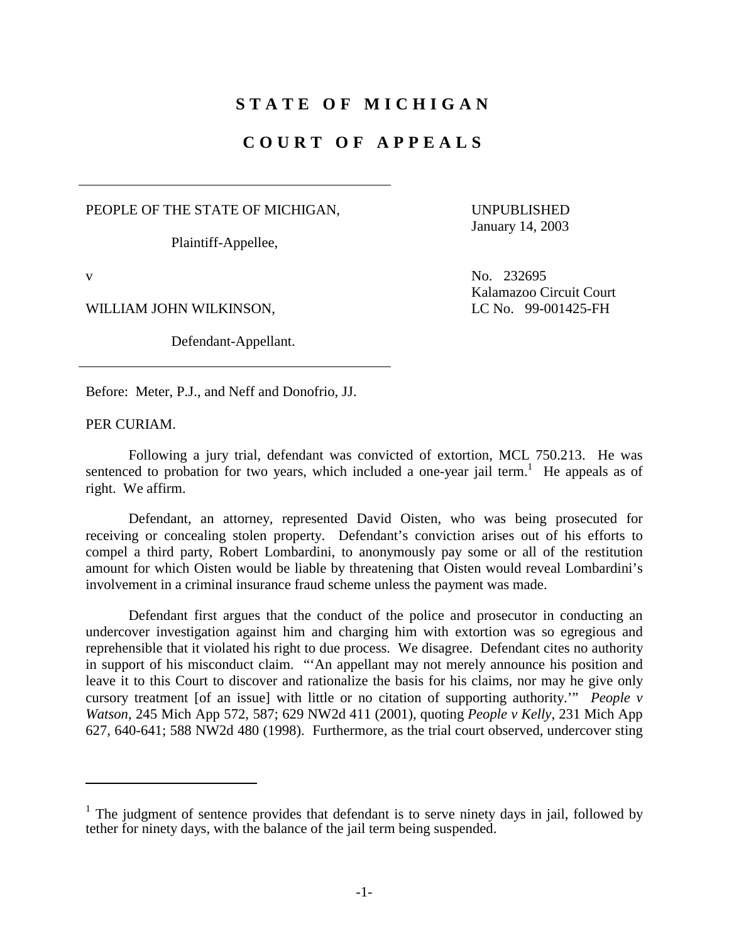## **STATE OF MICHIGAN**

## **COURT OF APPEALS**

PEOPLE OF THE STATE OF MICHIGAN, UNPUBLISHED

Plaintiff-Appellee,

<u>.</u>

WILLIAM JOHN WILKINSON, LC No. 99-001425-FH

Defendant-Appellant.

January 14, 2003

v No. 232695 Kalamazoo Circuit Court

Before: Meter, P.J., and Neff and Donofrio, JJ.

PER CURIAM.

Following a jury trial, defendant was convicted of extortion, MCL 750.213. He was sentenced to probation for two years, which included a one-year jail term.<sup>1</sup> He appeals as of right. We affirm.

Defendant, an attorney, represented David Oisten, who was being prosecuted for receiving or concealing stolen property. Defendant's conviction arises out of his efforts to compel a third party, Robert Lombardini, to anonymously pay some or all of the restitution amount for which Oisten would be liable by threatening that Oisten would reveal Lombardini's involvement in a criminal insurance fraud scheme unless the payment was made.

Defendant first argues that the conduct of the police and prosecutor in conducting an undercover investigation against him and charging him with extortion was so egregious and reprehensible that it violated his right to due process. We disagree. Defendant cites no authority in support of his misconduct claim. "'An appellant may not merely announce his position and leave it to this Court to discover and rationalize the basis for his claims, nor may he give only cursory treatment [of an issue] with little or no citation of supporting authority.'" *People v Watson*, 245 Mich App 572, 587; 629 NW2d 411 (2001), quoting *People v Kelly*, 231 Mich App 627, 640-641; 588 NW2d 480 (1998). Furthermore, as the trial court observed, undercover sting

<sup>&</sup>lt;sup>1</sup> The judgment of sentence provides that defendant is to serve ninety days in jail, followed by tether for ninety days, with the balance of the jail term being suspended.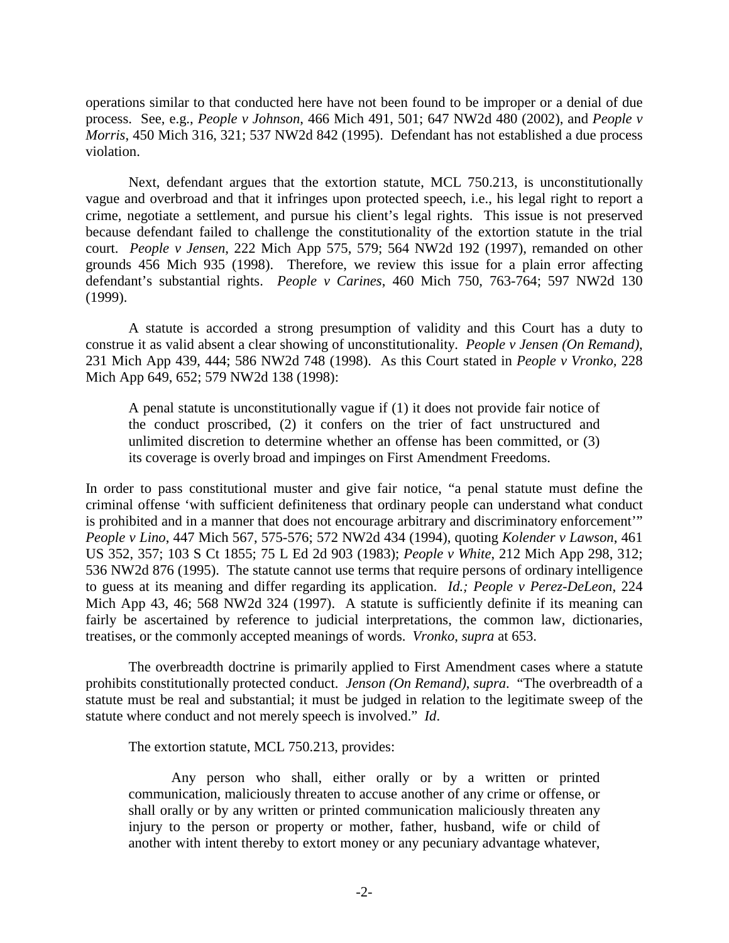operations similar to that conducted here have not been found to be improper or a denial of due process. See, e.g., *People v Johnson*, 466 Mich 491, 501; 647 NW2d 480 (2002), and *People v Morris*, 450 Mich 316, 321; 537 NW2d 842 (1995). Defendant has not established a due process violation.

 crime, negotiate a settlement, and pursue his client's legal rights. This issue is not preserved Next, defendant argues that the extortion statute, MCL 750.213, is unconstitutionally vague and overbroad and that it infringes upon protected speech, i.e., his legal right to report a because defendant failed to challenge the constitutionality of the extortion statute in the trial court. *People v Jensen*, 222 Mich App 575, 579; 564 NW2d 192 (1997), remanded on other grounds 456 Mich 935 (1998). Therefore, we review this issue for a plain error affecting defendant's substantial rights. *People v Carines*, 460 Mich 750, 763-764; 597 NW2d 130 (1999).

 A statute is accorded a strong presumption of validity and this Court has a duty to construe it as valid absent a clear showing of unconstitutionality. *People v Jensen (On Remand)*, 231 Mich App 439, 444; 586 NW2d 748 (1998). As this Court stated in *People v Vronko,* 228 Mich App 649, 652; 579 NW2d 138 (1998):

 A penal statute is unconstitutionally vague if (1) it does not provide fair notice of the conduct proscribed, (2) it confers on the trier of fact unstructured and unlimited discretion to determine whether an offense has been committed, or (3) its coverage is overly broad and impinges on First Amendment Freedoms.

 In order to pass constitutional muster and give fair notice, "a penal statute must define the is prohibited and in a manner that does not encourage arbitrary and discriminatory enforcement" criminal offense 'with sufficient definiteness that ordinary people can understand what conduct *People v Lino*, 447 Mich 567, 575-576; 572 NW2d 434 (1994), quoting *Kolender v Lawson*, 461 US 352, 357; 103 S Ct 1855; 75 L Ed 2d 903 (1983); *People v White*, 212 Mich App 298, 312; 536 NW2d 876 (1995). The statute cannot use terms that require persons of ordinary intelligence to guess at its meaning and differ regarding its application. *Id.; People v Perez-DeLeon*, 224 Mich App 43, 46; 568 NW2d 324 (1997). A statute is sufficiently definite if its meaning can fairly be ascertained by reference to judicial interpretations, the common law, dictionaries, treatises, or the commonly accepted meanings of words. *Vronko*, *supra* at 653.

 statute must be real and substantial; it must be judged in relation to the legitimate sweep of the The overbreadth doctrine is primarily applied to First Amendment cases where a statute prohibits constitutionally protected conduct. *Jenson (On Remand)*, *supra*. "The overbreadth of a statute where conduct and not merely speech is involved." *Id*.

The extortion statute, MCL 750.213, provides:

Any person who shall, either orally or by a written or printed communication, maliciously threaten to accuse another of any crime or offense, or shall orally or by any written or printed communication maliciously threaten any injury to the person or property or mother, father, husband, wife or child of another with intent thereby to extort money or any pecuniary advantage whatever,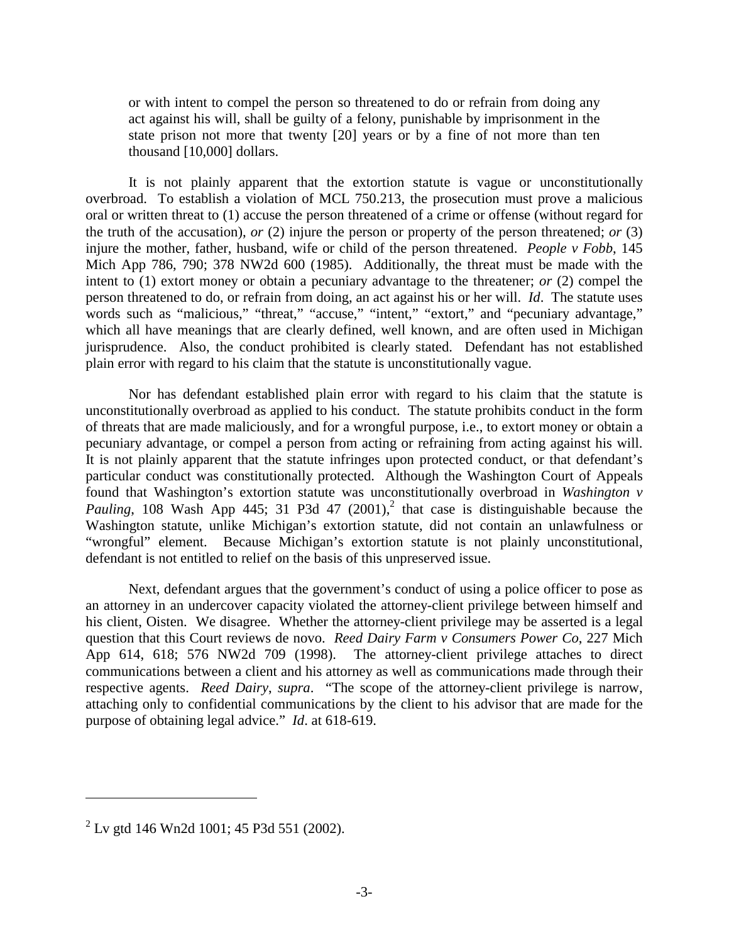or with intent to compel the person so threatened to do or refrain from doing any act against his will, shall be guilty of a felony, punishable by imprisonment in the state prison not more that twenty [20] years or by a fine of not more than ten thousand [10,000] dollars.

 It is not plainly apparent that the extortion statute is vague or unconstitutionally plain error with regard to his claim that the statute is unconstitutionally vague. overbroad. To establish a violation of MCL 750.213, the prosecution must prove a malicious oral or written threat to (1) accuse the person threatened of a crime or offense (without regard for the truth of the accusation), *or* (2) injure the person or property of the person threatened; *or* (3) injure the mother, father, husband, wife or child of the person threatened. *People v Fobb*, 145 Mich App 786, 790; 378 NW2d 600 (1985). Additionally, the threat must be made with the intent to (1) extort money or obtain a pecuniary advantage to the threatener; *or* (2) compel the person threatened to do, or refrain from doing, an act against his or her will. *Id*. The statute uses words such as "malicious," "threat," "accuse," "intent," "extort," and "pecuniary advantage," which all have meanings that are clearly defined, well known, and are often used in Michigan jurisprudence. Also, the conduct prohibited is clearly stated. Defendant has not established

 pecuniary advantage, or compel a person from acting or refraining from acting against his will. Nor has defendant established plain error with regard to his claim that the statute is unconstitutionally overbroad as applied to his conduct. The statute prohibits conduct in the form of threats that are made maliciously, and for a wrongful purpose, i.e., to extort money or obtain a It is not plainly apparent that the statute infringes upon protected conduct, or that defendant's particular conduct was constitutionally protected. Although the Washington Court of Appeals found that Washington's extortion statute was unconstitutionally overbroad in *Washington v*  Pauling, 108 Wash App 445; 31 P3d 47  $(2001)$ ,<sup>2</sup> that case is distinguishable because the Washington statute, unlike Michigan's extortion statute, did not contain an unlawfulness or "wrongful" element. Because Michigan's extortion statute is not plainly unconstitutional, defendant is not entitled to relief on the basis of this unpreserved issue.

 attaching only to confidential communications by the client to his advisor that are made for the Next, defendant argues that the government's conduct of using a police officer to pose as an attorney in an undercover capacity violated the attorney-client privilege between himself and his client, Oisten. We disagree. Whether the attorney-client privilege may be asserted is a legal question that this Court reviews de novo. *Reed Dairy Farm v Consumers Power Co*, 227 Mich App 614, 618; 576 NW2d 709 (1998). The attorney-client privilege attaches to direct communications between a client and his attorney as well as communications made through their respective agents. *Reed Dairy*, *supra*. "The scope of the attorney-client privilege is narrow, purpose of obtaining legal advice." *Id*. at 618-619.

 $\overline{a}$ 

 $2^2$  Lv gtd 146 Wn2d 1001; 45 P3d 551 (2002).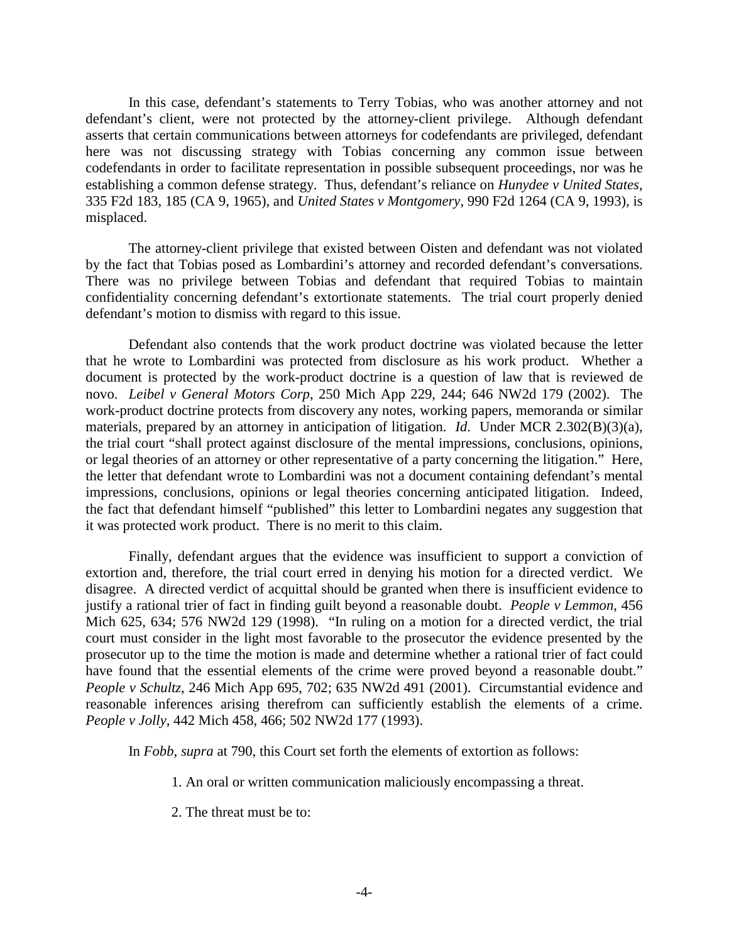In this case, defendant's statements to Terry Tobias, who was another attorney and not defendant's client, were not protected by the attorney-client privilege. Although defendant asserts that certain communications between attorneys for codefendants are privileged, defendant here was not discussing strategy with Tobias concerning any common issue between codefendants in order to facilitate representation in possible subsequent proceedings, nor was he establishing a common defense strategy. Thus, defendant's reliance on *Hunydee v United States*, 335 F2d 183, 185 (CA 9, 1965), and *United States v Montgomery*, 990 F2d 1264 (CA 9, 1993), is misplaced.

 confidentiality concerning defendant's extortionate statements. The trial court properly denied The attorney-client privilege that existed between Oisten and defendant was not violated by the fact that Tobias posed as Lombardini's attorney and recorded defendant's conversations. There was no privilege between Tobias and defendant that required Tobias to maintain defendant's motion to dismiss with regard to this issue.

 the fact that defendant himself "published" this letter to Lombardini negates any suggestion that Defendant also contends that the work product doctrine was violated because the letter that he wrote to Lombardini was protected from disclosure as his work product. Whether a document is protected by the work-product doctrine is a question of law that is reviewed de novo. *Leibel v General Motors Corp*, 250 Mich App 229, 244; 646 NW2d 179 (2002). The work-product doctrine protects from discovery any notes, working papers, memoranda or similar materials, prepared by an attorney in anticipation of litigation. *Id*. Under MCR 2.302(B)(3)(a), the trial court "shall protect against disclosure of the mental impressions, conclusions, opinions, or legal theories of an attorney or other representative of a party concerning the litigation." Here, the letter that defendant wrote to Lombardini was not a document containing defendant's mental impressions, conclusions, opinions or legal theories concerning anticipated litigation. Indeed, it was protected work product. There is no merit to this claim.

 extortion and, therefore, the trial court erred in denying his motion for a directed verdict. We Finally, defendant argues that the evidence was insufficient to support a conviction of disagree. A directed verdict of acquittal should be granted when there is insufficient evidence to justify a rational trier of fact in finding guilt beyond a reasonable doubt. *People v Lemmon*, 456 Mich 625, 634; 576 NW2d 129 (1998). "In ruling on a motion for a directed verdict, the trial court must consider in the light most favorable to the prosecutor the evidence presented by the prosecutor up to the time the motion is made and determine whether a rational trier of fact could have found that the essential elements of the crime were proved beyond a reasonable doubt." *People v Schultz*, 246 Mich App 695, 702; 635 NW2d 491 (2001). Circumstantial evidence and reasonable inferences arising therefrom can sufficiently establish the elements of a crime. *People v Jolly*, 442 Mich 458, 466; 502 NW2d 177 (1993).

In *Fobb*, *supra* at 790, this Court set forth the elements of extortion as follows:

- 1. An oral or written communication maliciously encompassing a threat.
- 2. The threat must be to: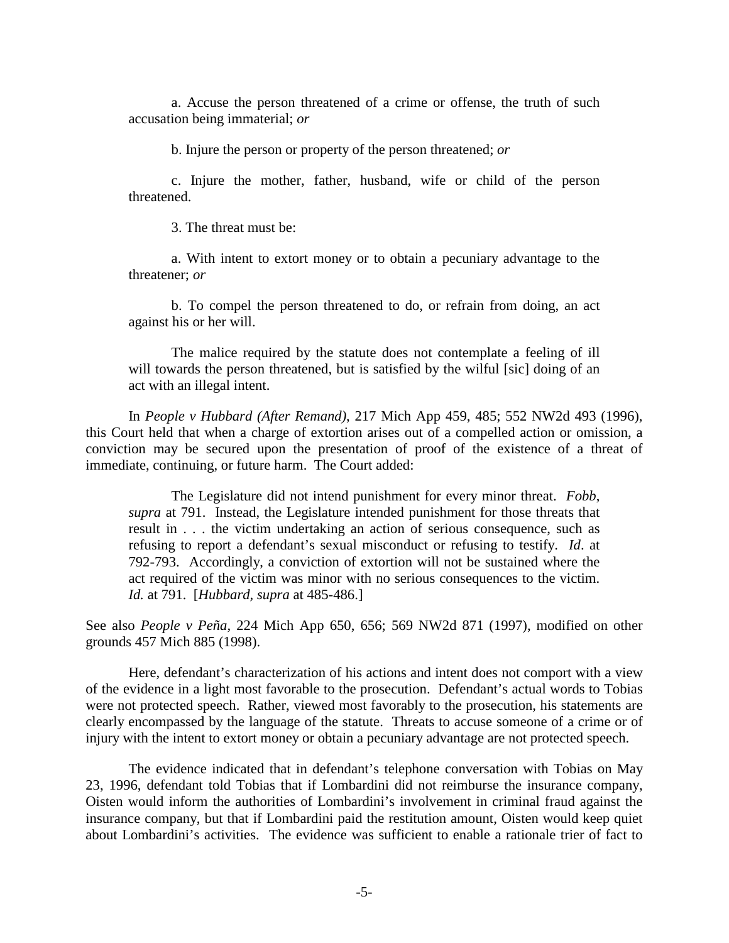a. Accuse the person threatened of a crime or offense, the truth of such accusation being immaterial; *or* 

b. Injure the person or property of the person threatened; *or* 

c. Injure the mother, father, husband, wife or child of the person threatened.

3. The threat must be:

a. With intent to extort money or to obtain a pecuniary advantage to the threatener; *or* 

b. To compel the person threatened to do, or refrain from doing, an act against his or her will.

 will towards the person threatened, but is satisfied by the wilful [sic] doing of an The malice required by the statute does not contemplate a feeling of ill act with an illegal intent.

In *People v Hubbard (After Remand)*, 217 Mich App 459, 485; 552 NW2d 493 (1996), this Court held that when a charge of extortion arises out of a compelled action or omission, a conviction may be secured upon the presentation of proof of the existence of a threat of immediate, continuing, or future harm. The Court added:

 refusing to report a defendant's sexual misconduct or refusing to testify. *Id*. at act required of the victim was minor with no serious consequences to the victim. The Legislature did not intend punishment for every minor threat. *Fobb*, *supra* at 791. Instead, the Legislature intended punishment for those threats that result in . . . the victim undertaking an action of serious consequence, such as 792-793. Accordingly, a conviction of extortion will not be sustained where the *Id.* at 791. [*Hubbard, supra* at 485-486.]

See also *People v Peña,* 224 Mich App 650, 656; 569 NW2d 871 (1997), modified on other grounds 457 Mich 885 (1998).

Here, defendant's characterization of his actions and intent does not comport with a view of the evidence in a light most favorable to the prosecution. Defendant's actual words to Tobias were not protected speech. Rather, viewed most favorably to the prosecution, his statements are clearly encompassed by the language of the statute. Threats to accuse someone of a crime or of injury with the intent to extort money or obtain a pecuniary advantage are not protected speech.

The evidence indicated that in defendant's telephone conversation with Tobias on May 23, 1996, defendant told Tobias that if Lombardini did not reimburse the insurance company, Oisten would inform the authorities of Lombardini's involvement in criminal fraud against the insurance company, but that if Lombardini paid the restitution amount, Oisten would keep quiet about Lombardini's activities. The evidence was sufficient to enable a rationale trier of fact to